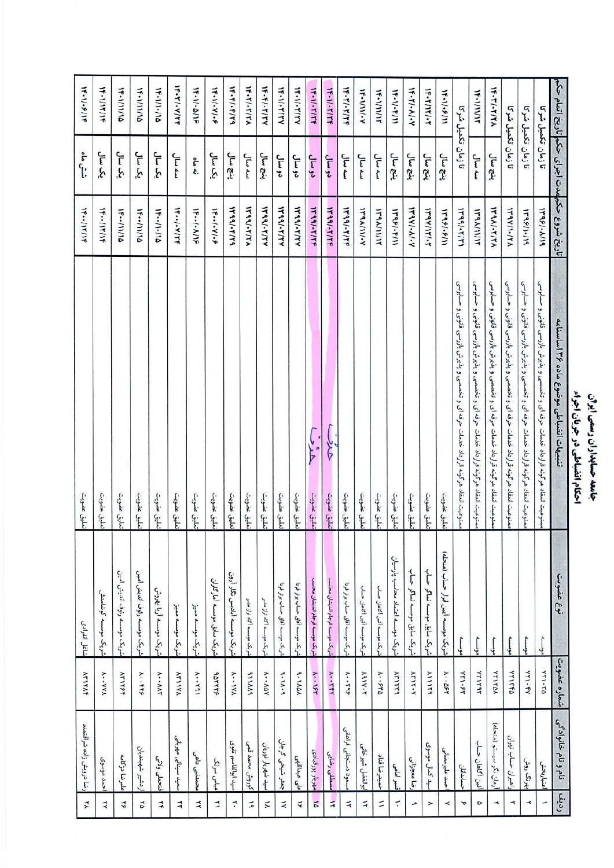## جامعه حسابداران رسمی ایران<br>احکام انضباطی در جریان اجراء

| ⋨                        | رضا درويش زاده شرافتمند | ATITAF                    | شاغل انفرادى                       | تعليق عضويت                                                                         | <b>1F--/1T/1F</b>                            | شش ماه             | 14-11-8114         |
|--------------------------|-------------------------|---------------------------|------------------------------------|-------------------------------------------------------------------------------------|----------------------------------------------|--------------------|--------------------|
| $\prec$                  | حمد موسوی               | <b>A··YYA</b>             | شريك موسسه كوشامنش                 | تعليق عضويت                                                                         | <b>IF--/IT/IF</b>                            | یک سال             | <b>1F-1/17/19</b>  |
| $\vec{r}$                | عليرضا دركامه           | ATITSE                    | شريك موسسه رثوف الديش امين         | نعلبق عضويت                                                                         | <b>IF--/II/10</b>                            | يک سال             | 14-1/11/16         |
| Ã                        | ردشير شهبنديان          | $A \cdot f f$             | شريك موسسه رثوف انديش امين         | تعليق عضويت                                                                         | 1F .- /11/10                                 | یک سال             | 17-111111          |
| 千                        | فتحطى ولائي             | A  AAT                    | شریک موسسه آریا بهروش              | نعلق عضويت                                                                          | 14-11-11                                     | یک سال             | 17-111-11          |
| $\prec$                  | حيد سينائي مهرباني      | ATITY                     | شريك موسسه مميز                    | تعليق عضويت                                                                         | $H - (-V/T)$                                 | سەسال              | パーヤーマーマ            |
| $\prec$                  | بحمدني داهى             | $A - 591$                 | شريك موسسه مميز                    | تعليق عضويت                                                                         | $1F-1-1/19$                                  | نه ماه             | 19-11-2/19         |
| ュ                        | عباس سرلک               | <b>ADTTTP</b>             | شريك سابق موسسه أماركاران          | تعليق عضويت                                                                         | $1F/-V/-P$                                   | يک سال             | パーパーター             |
| $\vec{\cdot}$            | سيد ابوالقاسم تقوى      | A IYA                     | شریک موسسه آبادیس نگار آرون        | تعليق عضويت                                                                         | 1441.4144                                    | ينج سال            | 15.51.5144         |
| 二                        | كوروش محمد قمى          | <b>AIIMA</b>              | شوبک موسسه اگاه تواز مدبر          | نعلبق عضويت                                                                         | 1474/114                                     | سه سال             | バー・イノ・イント          |
| $\tilde{}$               | سيد شهريار نوريان       | $A \cdot A \Delta Y$      | شریک موسسه اگاه تراز مدبر          | تعليق عضويت                                                                         | <b>WASI-TITY</b>                             | ينج سال            | $1F-F/7YYYY$       |
| $\tilde{~}$              | جعفر شيخى گرجان         | 9.11.9                    | شريک موسسه آفاق حساب برتر فرنا     | نعلق عضويت                                                                          | $14.441 - 1144$                              | دو سال             | <b>1F-1/-T/TY</b>  |
| $\widetilde{\mathbf{v}}$ | على عبداللهى            | 9-11AA                    | شریک موسسه آقاق حساب برتر فرنا     | تعليق عضويت                                                                         | <b>1799/-T/TY</b>                            | دو سال             | $15 - 11 + 11 + 1$ |
| $\frac{1}{2}$            | مهريار پورقبادى         | $A - 155$                 | شريك موسسه فرجام انديشان محاسب     | حذف<br>تعليق عضويت                                                                  | <b><i>ITAAI-TITT</i></b>                     | دو سال             | <b>1F-11-T17F</b>  |
| $\frac{1}{4}$            | صطفى رضايى              | <b>A-TET</b>              | شريك موسسه فرجام انديشان محاسب     | <b>Alt</b><br>تعليق عضويت                                                           | <b>1799/-T/TP</b>                            | دو سال             | <b>1F-11-T1TF</b>  |
| 千                        | سود دستجانی فراهانی     | $X - 795$                 | شريك موسسه أفاق حساب برتر فردا     | تعليق عضويت                                                                         | <b>IF99/-T/TF</b>                            | سه سال             | <b>1F-T/-T/TF</b>  |
| $\tilde{\mathcal{A}}$    | ابوالفضل شيرخاني        | $AAV \cdot T$             | شريك موسسه أثين أكاهان حساب        | تعليق عضويت                                                                         | <b>WAAIII-Y</b>                              | سه سال             | <b>N-1111-Y</b>    |
| $\leq$                   | حميدرضا قناد            | $A \cdot P$               | شويك موسسه أثين أكاهان حساب        | تعليق عضويت                                                                         | <b>ITAA/II/IT</b>                            | سه سال             | <b>NE-VIVIVY</b>   |
| $\tilde{\cdot}$          | فنبو امامى              | ATITTE                    | شريك موسسه اعتماد محاسب پارسيان    | تعليق عضويت                                                                         | <b>IF95/-F/11</b>                            | ينج سال            | パーパーティン            |
| ه                        | رضا معجزاتى             | <b>ATIT-Y</b>             | شريک سابق موسسه نماگر حساب         | نعلق عضويت                                                                          | 14941.41.4                                   | ينج سال            | ド・バ・ハ・ハ            |
| ≻                        | سيد كمال موسوى          | AIIITA                    | شريک سابق موسسه نماگر حساب         | تعليق عضويت                                                                         | <b>IFRY/IT/-T</b>                            | ينج سال            | <b>IF-T/IT/-T</b>  |
| ≺                        | حمد عليرمضانى           | $A \cdot \cdot \Delta$ FT | شريك موسسه أيين ابرار حساب (منحله) | تعليق عضويت                                                                         | 14451.6111                                   | ينج سال            | 14.11.9/11         |
| r                        | حسابدانان               | YTI-FT                    | مونسه                              | ممنوعيت انعقاد هرگونه قرارداد خدمات حرفه اى و تخصصى و پذيرش بازرسى قانونى و حسابرسى | $1444 - 51$                                  | تا زمان تکمیل شرکا |                    |
| $\circ$                  | أثين أكاهان حساب        | TYITAT                    | موسسه                              | سنوعيت انعقاد هرگونه قرارداد خدمات حرفه ای و تخصصی و پذيرش بازرسی قانونی و حسابرسی  | <b>IFRAININ</b>                              | سه سال             | <b>W-ANITY</b>     |
| $\rightarrow$            | أرمان نگر سيستم (منحله) | <b>VYITAN</b>             | $\sim$                             | سنوعيت انعقاد هرگونه قرارداد خدمات حرفه ای و تخصصی و پذیرش بازرسی قانونی و حسابرسی  | <b>IFRAI-TITA</b>                            | ينج سال            | パーディアパス            |
| L                        | راهبران حساب تهران      | VYITED                    | $56 - 7$                           | سنوعيت أنعقاد هرگونه قرارداد خدمات حرفه اى و تخصصى و پذيرش بازرسى قانونى و حسابرسى  | <b>IT9Y/1-/TA</b>                            | تا زمان تكميل شركا |                    |
| $\blacktriangleleft$     | بهرنگ روش               | YTI-FY                    | 26.000                             | سنوعيت انعقاد هرگونه قرارداد خدمات حرفه اي و تخصصي و پذيرش بازرسي قانونۍ و حسابرسي  | 1798/1-119                                   | تا زمان تکمیل شرکا |                    |
|                          | اعتباربخش               | ATI-TA                    | $\frac{1}{2}$                      | ممنوعيت امقاد هرگونه قرارداد خدمات حرفه اى و تخصصى و بذيرش بازرسى قانونى و حسابرسى  | <b>17981-1119</b>                            | تا زمان تکمیل شرکا |                    |
| رديد                     | نام و نام خانوادگی      | شماره عضويت               | نوع عضويت                          | تنبيهات انضباطى موضوع ماده ۱۳۶ اساستامه                                             | تاريخ شروع حكمهمدت اجراى حكم تاريخ اتمام حكم |                    |                    |